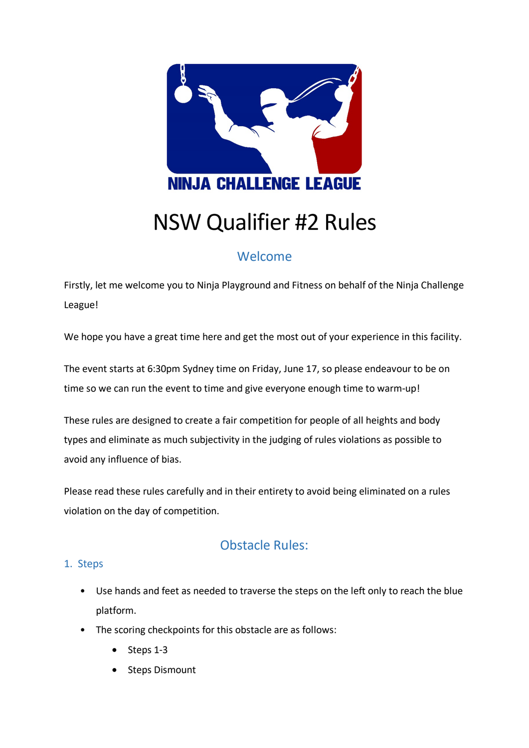

# NSW Qualifier #2 Rules

## Welcome

Firstly, let me welcome you to Ninja Playground and Fitness on behalf of the Ninja Challenge League!

We hope you have a great time here and get the most out of your experience in this facility.

The event starts at 6:30pm Sydney time on Friday, June 17, so please endeavour to be on time so we can run the event to time and give everyone enough time to warm-up!

These rules are designed to create a fair competition for people of all heights and body types and eliminate as much subjectivity in the judging of rules violations as possible to avoid any influence of bias.

Please read these rules carefully and in their entirety to avoid being eliminated on a rules violation on the day of competition.

## Obstacle Rules:

### 1. Steps

- Use hands and feet as needed to traverse the steps on the left only to reach the blue platform.
- The scoring checkpoints for this obstacle are as follows:
	- Steps 1-3
	- Steps Dismount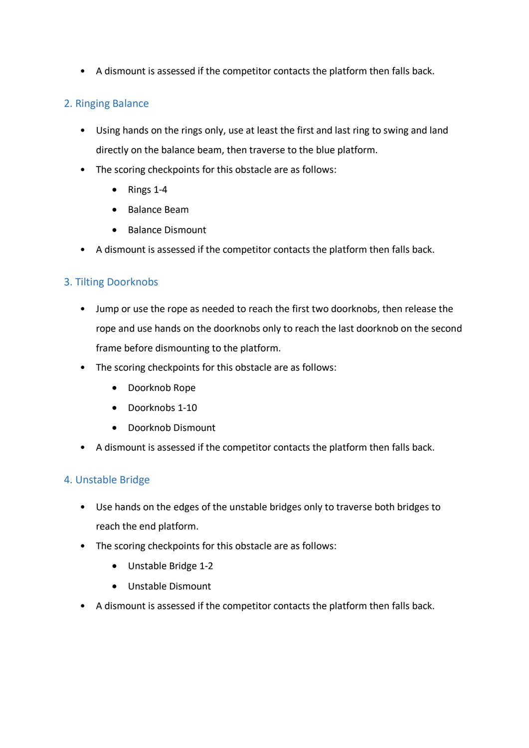• A dismount is assessed if the competitor contacts the platform then falls back.

#### 2. Ringing Balance

- Using hands on the rings only, use at least the first and last ring to swing and land directly on the balance beam, then traverse to the blue platform.
- The scoring checkpoints for this obstacle are as follows:
	- Rings 1-4
	- Balance Beam
	- Balance Dismount
- A dismount is assessed if the competitor contacts the platform then falls back.

#### 3. Tilting Doorknobs

- Jump or use the rope as needed to reach the first two doorknobs, then release the rope and use hands on the doorknobs only to reach the last doorknob on the second frame before dismounting to the platform.
- The scoring checkpoints for this obstacle are as follows:
	- Doorknob Rope
	- Doorknobs 1-10
	- Doorknob Dismount
- A dismount is assessed if the competitor contacts the platform then falls back.

#### 4. Unstable Bridge

- Use hands on the edges of the unstable bridges only to traverse both bridges to reach the end platform.
- The scoring checkpoints for this obstacle are as follows:
	- Unstable Bridge 1-2
	- Unstable Dismount
- A dismount is assessed if the competitor contacts the platform then falls back.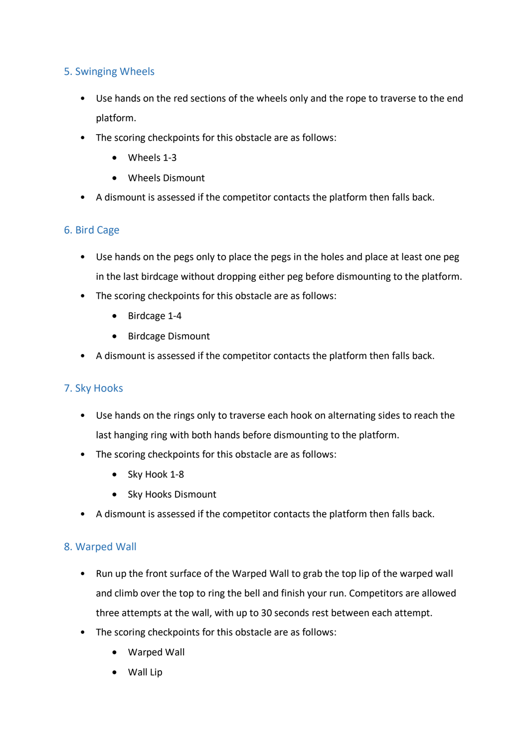#### 5. Swinging Wheels

- Use hands on the red sections of the wheels only and the rope to traverse to the end platform.
- The scoring checkpoints for this obstacle are as follows:
	- Wheels 1-3
	- Wheels Dismount
- A dismount is assessed if the competitor contacts the platform then falls back.

#### 6. Bird Cage

- Use hands on the pegs only to place the pegs in the holes and place at least one peg in the last birdcage without dropping either peg before dismounting to the platform.
- The scoring checkpoints for this obstacle are as follows:
	- Birdcage 1-4
	- Birdcage Dismount
- A dismount is assessed if the competitor contacts the platform then falls back.

#### 7. Sky Hooks

- Use hands on the rings only to traverse each hook on alternating sides to reach the last hanging ring with both hands before dismounting to the platform.
- The scoring checkpoints for this obstacle are as follows:
	- Sky Hook 1-8
	- Sky Hooks Dismount
- A dismount is assessed if the competitor contacts the platform then falls back.

#### 8. Warped Wall

- Run up the front surface of the Warped Wall to grab the top lip of the warped wall and climb over the top to ring the bell and finish your run. Competitors are allowed three attempts at the wall, with up to 30 seconds rest between each attempt.
- The scoring checkpoints for this obstacle are as follows:
	- Warped Wall
	- Wall Lip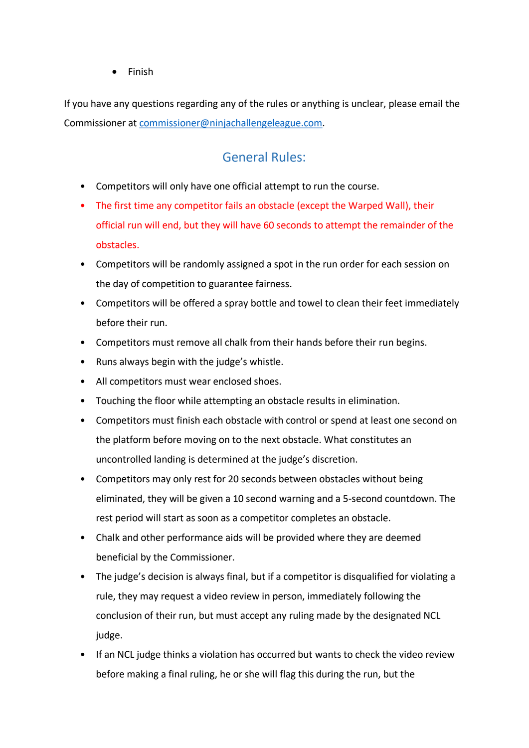• Finish

If you have any questions regarding any of the rules or anything is unclear, please email the Commissioner at [commissioner@ninjachallengeleague.com.](mailto:commissioner@ninjachallengeleague.com)

## General Rules:

- Competitors will only have one official attempt to run the course.
- The first time any competitor fails an obstacle (except the Warped Wall), their official run will end, but they will have 60 seconds to attempt the remainder of the obstacles.
- Competitors will be randomly assigned a spot in the run order for each session on the day of competition to guarantee fairness.
- Competitors will be offered a spray bottle and towel to clean their feet immediately before their run.
- Competitors must remove all chalk from their hands before their run begins.
- Runs always begin with the judge's whistle.
- All competitors must wear enclosed shoes.
- Touching the floor while attempting an obstacle results in elimination.
- Competitors must finish each obstacle with control or spend at least one second on the platform before moving on to the next obstacle. What constitutes an uncontrolled landing is determined at the judge's discretion.
- Competitors may only rest for 20 seconds between obstacles without being eliminated, they will be given a 10 second warning and a 5-second countdown. The rest period will start as soon as a competitor completes an obstacle.
- Chalk and other performance aids will be provided where they are deemed beneficial by the Commissioner.
- The judge's decision is always final, but if a competitor is disqualified for violating a rule, they may request a video review in person, immediately following the conclusion of their run, but must accept any ruling made by the designated NCL judge.
- If an NCL judge thinks a violation has occurred but wants to check the video review before making a final ruling, he or she will flag this during the run, but the